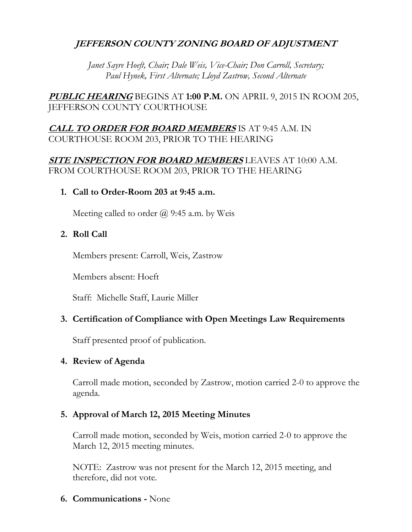# **JEFFERSON COUNTY ZONING BOARD OF ADJUSTMENT**

*Janet Sayre Hoeft, Chair; Dale Weis, Vice-Chair; Don Carroll, Secretary; Paul Hynek, First Alternate; Lloyd Zastrow, Second Alternate*

**PUBLIC HEARING** BEGINS AT **1:00 P.M.** ON APRIL 9, 2015 IN ROOM 205, JEFFERSON COUNTY COURTHOUSE

# **CALL TO ORDER FOR BOARD MEMBERS** IS AT 9:45 A.M. IN COURTHOUSE ROOM 203, PRIOR TO THE HEARING

# **SITE INSPECTION FOR BOARD MEMBERS** LEAVES AT 10:00 A.M. FROM COURTHOUSE ROOM 203, PRIOR TO THE HEARING

**1. Call to Order-Room 203 at 9:45 a.m.**

Meeting called to order  $\omega$  9:45 a.m. by Weis

# **2. Roll Call**

Members present: Carroll, Weis, Zastrow

Members absent: Hoeft

Staff: Michelle Staff, Laurie Miller

# **3. Certification of Compliance with Open Meetings Law Requirements**

Staff presented proof of publication.

# **4. Review of Agenda**

Carroll made motion, seconded by Zastrow, motion carried 2-0 to approve the agenda.

# **5. Approval of March 12, 2015 Meeting Minutes**

Carroll made motion, seconded by Weis, motion carried 2-0 to approve the March 12, 2015 meeting minutes.

NOTE: Zastrow was not present for the March 12, 2015 meeting, and therefore, did not vote.

**6. Communications -** None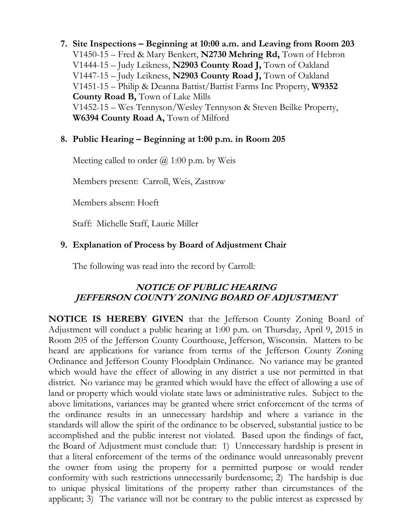**7. Site Inspections – Beginning at 10:00 a.m. and Leaving from Room 203** V1450-15 – Fred & Mary Benkert, **N2730 Mehring Rd,** Town of Hebron V1444-15 – Judy Leikness, **N2903 County Road J,** Town of Oakland V1447-15 – Judy Leikness, **N2903 County Road J,** Town of Oakland V1451-15 – Philip & Deanna Battist/Battist Farms Inc Property, **W9352 County Road B,** Town of Lake Mills V1452-15 – Wes Tennyson/Wesley Tennyson & Steven Beilke Property, **W6394 County Road A,** Town of Milford

## **8. Public Hearing – Beginning at 1:00 p.m. in Room 205**

Meeting called to order  $(a)$  1:00 p.m. by Weis

Members present: Carroll, Weis, Zastrow

Members absent: Hoeft

Staff: Michelle Staff, Laurie Miller

# **9. Explanation of Process by Board of Adjustment Chair**

The following was read into the record by Carroll:

# **NOTICE OF PUBLIC HEARING JEFFERSON COUNTY ZONING BOARD OF ADJUSTMENT**

**NOTICE IS HEREBY GIVEN** that the Jefferson County Zoning Board of Adjustment will conduct a public hearing at 1:00 p.m. on Thursday, April 9, 2015 in Room 205 of the Jefferson County Courthouse, Jefferson, Wisconsin. Matters to be heard are applications for variance from terms of the Jefferson County Zoning Ordinance and Jefferson County Floodplain Ordinance. No variance may be granted which would have the effect of allowing in any district a use not permitted in that district. No variance may be granted which would have the effect of allowing a use of land or property which would violate state laws or administrative rules. Subject to the above limitations, variances may be granted where strict enforcement of the terms of the ordinance results in an unnecessary hardship and where a variance in the standards will allow the spirit of the ordinance to be observed, substantial justice to be accomplished and the public interest not violated. Based upon the findings of fact, the Board of Adjustment must conclude that: 1) Unnecessary hardship is present in that a literal enforcement of the terms of the ordinance would unreasonably prevent the owner from using the property for a permitted purpose or would render conformity with such restrictions unnecessarily burdensome; 2) The hardship is due to unique physical limitations of the property rather than circumstances of the applicant; 3) The variance will not be contrary to the public interest as expressed by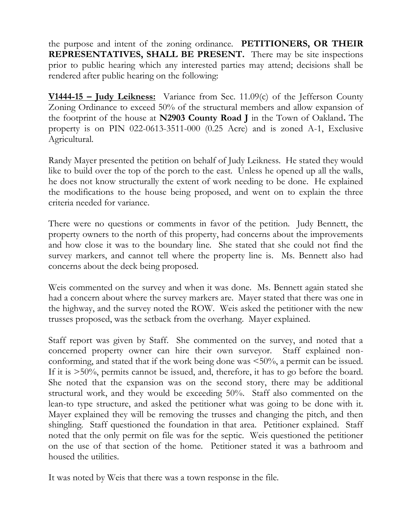the purpose and intent of the zoning ordinance. **PETITIONERS, OR THEIR REPRESENTATIVES, SHALL BE PRESENT.** There may be site inspections prior to public hearing which any interested parties may attend; decisions shall be rendered after public hearing on the following:

**V1444-15 – Judy Leikness:** Variance from Sec. 11.09(c) of the Jefferson County Zoning Ordinance to exceed 50% of the structural members and allow expansion of the footprint of the house at **N2903 County Road J** in the Town of Oakland**.** The property is on PIN 022-0613-3511-000 (0.25 Acre) and is zoned A-1, Exclusive Agricultural.

Randy Mayer presented the petition on behalf of Judy Leikness. He stated they would like to build over the top of the porch to the east. Unless he opened up all the walls, he does not know structurally the extent of work needing to be done. He explained the modifications to the house being proposed, and went on to explain the three criteria needed for variance.

There were no questions or comments in favor of the petition. Judy Bennett, the property owners to the north of this property, had concerns about the improvements and how close it was to the boundary line. She stated that she could not find the survey markers, and cannot tell where the property line is. Ms. Bennett also had concerns about the deck being proposed.

Weis commented on the survey and when it was done. Ms. Bennett again stated she had a concern about where the survey markers are. Mayer stated that there was one in the highway, and the survey noted the ROW. Weis asked the petitioner with the new trusses proposed, was the setback from the overhang. Mayer explained.

Staff report was given by Staff. She commented on the survey, and noted that a concerned property owner can hire their own surveyor. Staff explained nonconforming, and stated that if the work being done was <50%, a permit can be issued. If it is >50%, permits cannot be issued, and, therefore, it has to go before the board. She noted that the expansion was on the second story, there may be additional structural work, and they would be exceeding 50%. Staff also commented on the lean-to type structure, and asked the petitioner what was going to be done with it. Mayer explained they will be removing the trusses and changing the pitch, and then shingling. Staff questioned the foundation in that area. Petitioner explained. Staff noted that the only permit on file was for the septic. Weis questioned the petitioner on the use of that section of the home. Petitioner stated it was a bathroom and housed the utilities.

It was noted by Weis that there was a town response in the file.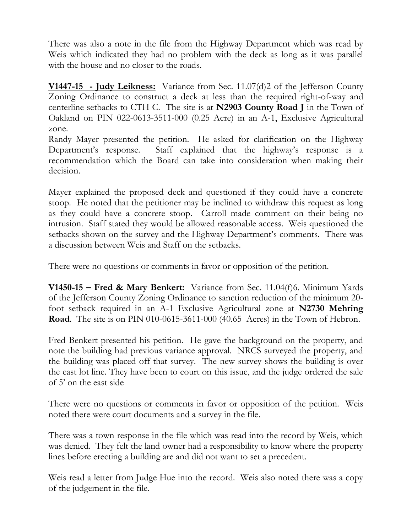There was also a note in the file from the Highway Department which was read by Weis which indicated they had no problem with the deck as long as it was parallel with the house and no closer to the roads.

**V1447-15 - Judy Leikness:** Variance from Sec. 11.07(d)2 of the Jefferson County Zoning Ordinance to construct a deck at less than the required right-of-way and centerline setbacks to CTH C. The site is at **N2903 County Road J** in the Town of Oakland on PIN 022-0613-3511-000 (0.25 Acre) in an A-1, Exclusive Agricultural zone.

Randy Mayer presented the petition. He asked for clarification on the Highway Department's response. Staff explained that the highway's response is a recommendation which the Board can take into consideration when making their decision.

Mayer explained the proposed deck and questioned if they could have a concrete stoop. He noted that the petitioner may be inclined to withdraw this request as long as they could have a concrete stoop. Carroll made comment on their being no intrusion. Staff stated they would be allowed reasonable access. Weis questioned the setbacks shown on the survey and the Highway Department's comments. There was a discussion between Weis and Staff on the setbacks.

There were no questions or comments in favor or opposition of the petition.

**V1450-15 – Fred & Mary Benkert:** Variance from Sec. 11.04(f)6. Minimum Yards of the Jefferson County Zoning Ordinance to sanction reduction of the minimum 20 foot setback required in an A-1 Exclusive Agricultural zone at **N2730 Mehring Road**. The site is on PIN 010-0615-3611-000 (40.65 Acres) in the Town of Hebron.

Fred Benkert presented his petition. He gave the background on the property, and note the building had previous variance approval. NRCS surveyed the property, and the building was placed off that survey. The new survey shows the building is over the east lot line. They have been to court on this issue, and the judge ordered the sale of 5' on the east side

There were no questions or comments in favor or opposition of the petition. Weis noted there were court documents and a survey in the file.

There was a town response in the file which was read into the record by Weis, which was denied. They felt the land owner had a responsibility to know where the property lines before erecting a building are and did not want to set a precedent.

Weis read a letter from Judge Hue into the record. Weis also noted there was a copy of the judgement in the file.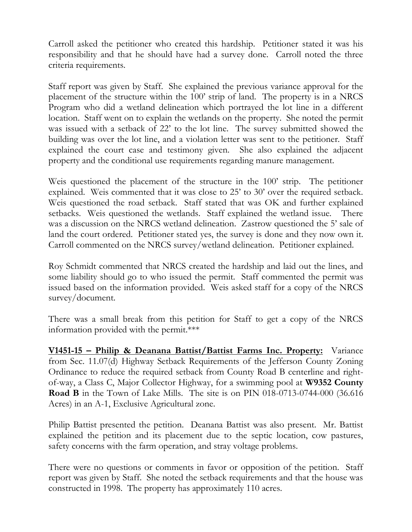Carroll asked the petitioner who created this hardship. Petitioner stated it was his responsibility and that he should have had a survey done. Carroll noted the three criteria requirements.

Staff report was given by Staff. She explained the previous variance approval for the placement of the structure within the 100' strip of land. The property is in a NRCS Program who did a wetland delineation which portrayed the lot line in a different location. Staff went on to explain the wetlands on the property. She noted the permit was issued with a setback of 22' to the lot line. The survey submitted showed the building was over the lot line, and a violation letter was sent to the petitioner. Staff explained the court case and testimony given. She also explained the adjacent property and the conditional use requirements regarding manure management.

Weis questioned the placement of the structure in the 100' strip. The petitioner explained. Weis commented that it was close to 25' to 30' over the required setback. Weis questioned the road setback. Staff stated that was OK and further explained setbacks. Weis questioned the wetlands. Staff explained the wetland issue. There was a discussion on the NRCS wetland delineation. Zastrow questioned the 5' sale of land the court ordered. Petitioner stated yes, the survey is done and they now own it. Carroll commented on the NRCS survey/wetland delineation. Petitioner explained.

Roy Schmidt commented that NRCS created the hardship and laid out the lines, and some liability should go to who issued the permit. Staff commented the permit was issued based on the information provided. Weis asked staff for a copy of the NRCS survey/document.

There was a small break from this petition for Staff to get a copy of the NRCS information provided with the permit.\*\*\*

**V1451-15 – Philip & Deanana Battist/Battist Farms Inc. Property:** Variance from Sec. 11.07(d) Highway Setback Requirements of the Jefferson County Zoning Ordinance to reduce the required setback from County Road B centerline and rightof-way, a Class C, Major Collector Highway, for a swimming pool at **W9352 County Road B** in the Town of Lake Mills. The site is on PIN 018-0713-0744-000 (36.616 Acres) in an A-1, Exclusive Agricultural zone.

Philip Battist presented the petition. Deanana Battist was also present. Mr. Battist explained the petition and its placement due to the septic location, cow pastures, safety concerns with the farm operation, and stray voltage problems.

There were no questions or comments in favor or opposition of the petition. Staff report was given by Staff. She noted the setback requirements and that the house was constructed in 1998. The property has approximately 110 acres.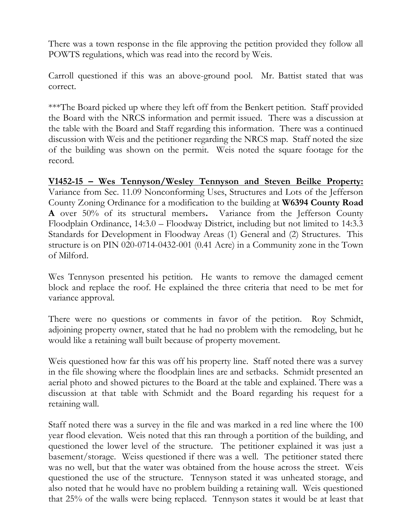There was a town response in the file approving the petition provided they follow all POWTS regulations, which was read into the record by Weis.

Carroll questioned if this was an above-ground pool. Mr. Battist stated that was correct.

\*\*\*The Board picked up where they left off from the Benkert petition. Staff provided the Board with the NRCS information and permit issued. There was a discussion at the table with the Board and Staff regarding this information. There was a continued discussion with Weis and the petitioner regarding the NRCS map. Staff noted the size of the building was shown on the permit. Weis noted the square footage for the record.

**V1452-15 – Wes Tennyson/Wesley Tennyson and Steven Beilke Property:** Variance from Sec. 11.09 Nonconforming Uses, Structures and Lots of the Jefferson County Zoning Ordinance for a modification to the building at **W6394 County Road A** over 50% of its structural members**.** Variance from the Jefferson County Floodplain Ordinance, 14:3.0 – Floodway District, including but not limited to 14:3.3 Standards for Development in Floodway Areas (1) General and (2) Structures. This structure is on PIN 020-0714-0432-001 (0.41 Acre) in a Community zone in the Town of Milford.

Wes Tennyson presented his petition. He wants to remove the damaged cement block and replace the roof. He explained the three criteria that need to be met for variance approval.

There were no questions or comments in favor of the petition. Roy Schmidt, adjoining property owner, stated that he had no problem with the remodeling, but he would like a retaining wall built because of property movement.

Weis questioned how far this was off his property line. Staff noted there was a survey in the file showing where the floodplain lines are and setbacks. Schmidt presented an aerial photo and showed pictures to the Board at the table and explained. There was a discussion at that table with Schmidt and the Board regarding his request for a retaining wall.

Staff noted there was a survey in the file and was marked in a red line where the 100 year flood elevation. Weis noted that this ran through a portition of the building, and questioned the lower level of the structure. The petitioner explained it was just a basement/storage. Weiss questioned if there was a well. The petitioner stated there was no well, but that the water was obtained from the house across the street. Weis questioned the use of the structure. Tennyson stated it was unheated storage, and also noted that he would have no problem building a retaining wall. Weis questioned that 25% of the walls were being replaced. Tennyson states it would be at least that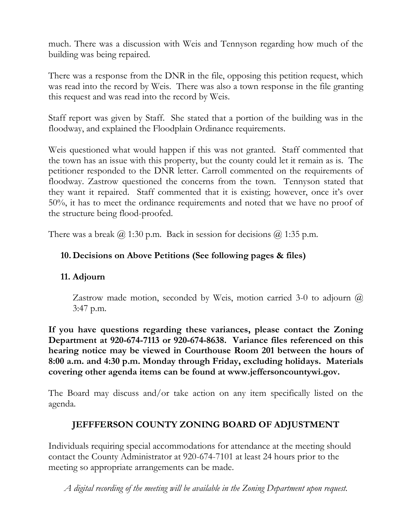much. There was a discussion with Weis and Tennyson regarding how much of the building was being repaired.

There was a response from the DNR in the file, opposing this petition request, which was read into the record by Weis. There was also a town response in the file granting this request and was read into the record by Weis.

Staff report was given by Staff. She stated that a portion of the building was in the floodway, and explained the Floodplain Ordinance requirements.

Weis questioned what would happen if this was not granted. Staff commented that the town has an issue with this property, but the county could let it remain as is. The petitioner responded to the DNR letter. Carroll commented on the requirements of floodway. Zastrow questioned the concerns from the town. Tennyson stated that they want it repaired. Staff commented that it is existing; however, once it's over 50%, it has to meet the ordinance requirements and noted that we have no proof of the structure being flood-proofed.

There was a break  $\omega$  1:30 p.m. Back in session for decisions  $\omega$  1:35 p.m.

# **10. Decisions on Above Petitions (See following pages & files)**

# **11. Adjourn**

Zastrow made motion, seconded by Weis, motion carried 3-0 to adjourn  $\omega$ 3:47 p.m.

**If you have questions regarding these variances, please contact the Zoning Department at 920-674-7113 or 920-674-8638. Variance files referenced on this hearing notice may be viewed in Courthouse Room 201 between the hours of 8:00 a.m. and 4:30 p.m. Monday through Friday, excluding holidays. Materials covering other agenda items can be found at www.jeffersoncountywi.gov.**

The Board may discuss and/or take action on any item specifically listed on the agenda.

# **JEFFFERSON COUNTY ZONING BOARD OF ADJUSTMENT**

Individuals requiring special accommodations for attendance at the meeting should contact the County Administrator at 920-674-7101 at least 24 hours prior to the meeting so appropriate arrangements can be made.

*A digital recording of the meeting will be available in the Zoning Department upon request.*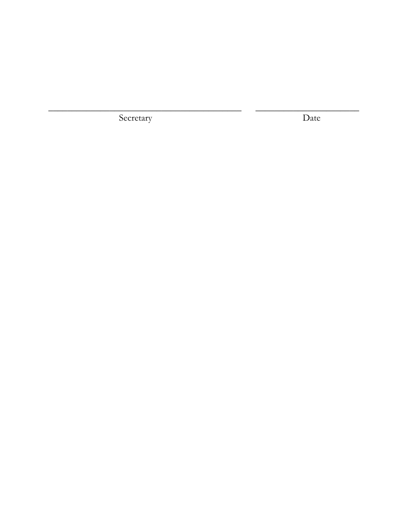Secretary

Date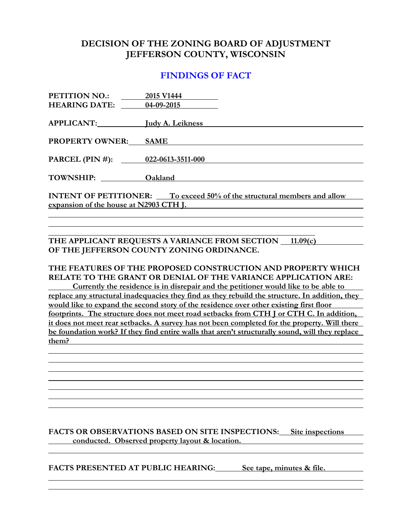### **FINDINGS OF FACT**

| PETITION NO.:                                                                  | 2015 V1444  |  |
|--------------------------------------------------------------------------------|-------------|--|
| <b>HEARING DATE:</b> 04-09-2015                                                |             |  |
|                                                                                |             |  |
| APPLICANT: Judy A. Leikness                                                    |             |  |
|                                                                                |             |  |
| <b>PROPERTY OWNER:</b>                                                         | <b>SAME</b> |  |
|                                                                                |             |  |
| PARCEL (PIN #): 022-0613-3511-000                                              |             |  |
|                                                                                |             |  |
| TOWNSHIP: Oakland                                                              |             |  |
|                                                                                |             |  |
| <b>INTENT OF PETITIONER:</b> To exceed 50% of the structural members and allow |             |  |
| expansion of the house at N2903 CTH J.                                         |             |  |

THE APPLICANT REQUESTS A VARIANCE FROM SECTION 11.09(c) **OF THE JEFFERSON COUNTY ZONING ORDINANCE.**

**THE FEATURES OF THE PROPOSED CONSTRUCTION AND PROPERTY WHICH RELATE TO THE GRANT OR DENIAL OF THE VARIANCE APPLICATION ARE: Currently the residence is in disrepair and the petitioner would like to be able to replace any structural inadequacies they find as they rebuild the structure. In addition, they would like to expand the second story of the residence over other existing first floor footprints. The structure does not meet road setbacks from CTH J or CTH C. In addition, it does not meet rear setbacks. A survey has not been completed for the property. Will there be foundation work? If they find entire walls that aren't structurally sound, will they replace them?** 

**FACTS OR OBSERVATIONS BASED ON SITE INSPECTIONS: Site inspections conducted. Observed property layout & location.**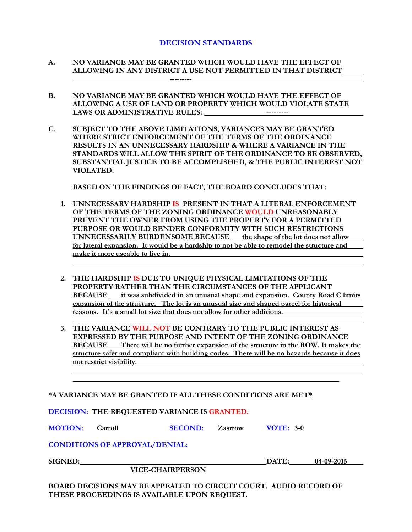- **A. NO VARIANCE MAY BE GRANTED WHICH WOULD HAVE THE EFFECT OF ALLOWING IN ANY DISTRICT A USE NOT PERMITTED IN THAT DISTRICT ---------**
- **B. NO VARIANCE MAY BE GRANTED WHICH WOULD HAVE THE EFFECT OF ALLOWING A USE OF LAND OR PROPERTY WHICH WOULD VIOLATE STATE LAWS OR ADMINISTRATIVE RULES: ---------**
- **C. SUBJECT TO THE ABOVE LIMITATIONS, VARIANCES MAY BE GRANTED WHERE STRICT ENFORCEMENT OF THE TERMS OF THE ORDINANCE RESULTS IN AN UNNECESSARY HARDSHIP & WHERE A VARIANCE IN THE STANDARDS WILL ALLOW THE SPIRIT OF THE ORDINANCE TO BE OBSERVED, SUBSTANTIAL JUSTICE TO BE ACCOMPLISHED, & THE PUBLIC INTEREST NOT VIOLATED.**

**BASED ON THE FINDINGS OF FACT, THE BOARD CONCLUDES THAT:**

- **1. UNNECESSARY HARDSHIP IS PRESENT IN THAT A LITERAL ENFORCEMENT OF THE TERMS OF THE ZONING ORDINANCE WOULD UNREASONABLY PREVENT THE OWNER FROM USING THE PROPERTY FOR A PERMITTED PURPOSE OR WOULD RENDER CONFORMITY WITH SUCH RESTRICTIONS UNNECESSARILY BURDENSOME BECAUSE the shape of the lot does not allow for lateral expansion. It would be a hardship to not be able to remodel the structure and make it more useable to live in.**
- **2. THE HARDSHIP IS DUE TO UNIQUE PHYSICAL LIMITATIONS OF THE PROPERTY RATHER THAN THE CIRCUMSTANCES OF THE APPLICANT BECAUSE it was subdivided in an unusual shape and expansion. County Road C limits expansion of the structure. The lot is an unusual size and shaped parcel for historical reasons. It's a small lot size that does not allow for other additions.**
- **3. THE VARIANCE WILL NOT BE CONTRARY TO THE PUBLIC INTEREST AS EXPRESSED BY THE PURPOSE AND INTENT OF THE ZONING ORDINANCE BECAUSE There will be no further expansion of the structure in the ROW. It makes the structure safer and compliant with building codes. There will be no hazards because it does not restrict visibility.**

**\*A VARIANCE MAY BE GRANTED IF ALL THESE CONDITIONS ARE MET\***

**DECISION: THE REQUESTED VARIANCE IS GRANTED.**

**MOTION: Carroll SECOND: Zastrow VOTE: 3-0**

**CONDITIONS OF APPROVAL/DENIAL:**

**SIGNED: DATE: 04-09-2015**

 **VICE-CHAIRPERSON**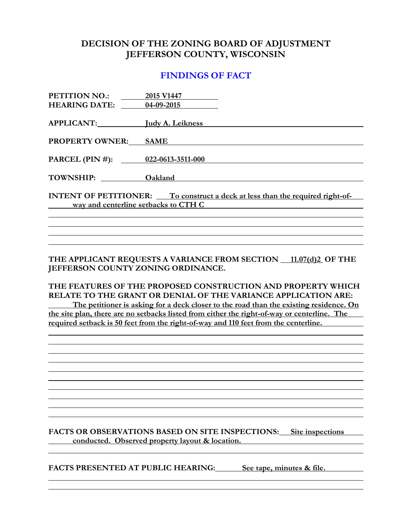### **FINDINGS OF FACT**

| PETITION NO.:<br><b>HEARING DATE:</b>                                                                                        | 2015 V1447<br>$04-09-2015$ |  |
|------------------------------------------------------------------------------------------------------------------------------|----------------------------|--|
|                                                                                                                              |                            |  |
| APPLICANT: [udy A. Leikness]                                                                                                 |                            |  |
| <b>PROPERTY OWNER:</b>                                                                                                       | <b>SAME</b>                |  |
| PARCEL (PIN #): 022-0613-3511-000                                                                                            |                            |  |
| TOWNSHIP:                                                                                                                    | Oakland                    |  |
| <b>INTENT OF PETITIONER:</b> To construct a deck at less than the required right-of-<br>way and centerline setbacks to CTH C |                            |  |
|                                                                                                                              |                            |  |

THE APPLICANT REQUESTS A VARIANCE FROM SECTION 11.07(d)2 OF THE **JEFFERSON COUNTY ZONING ORDINANCE.**

**THE FEATURES OF THE PROPOSED CONSTRUCTION AND PROPERTY WHICH RELATE TO THE GRANT OR DENIAL OF THE VARIANCE APPLICATION ARE: The petitioner is asking for a deck closer to the road than the existing residence. On the site plan, there are no setbacks listed from either the right-of-way or centerline. The required setback is 50 feet from the right-of-way and 110 feet from the centerline.** 

**FACTS OR OBSERVATIONS BASED ON SITE INSPECTIONS: Site inspections conducted. Observed property layout & location.**

FACTS PRESENTED AT PUBLIC HEARING: See tape, minutes & file.

<u> 1980 - Johann Barn, mars ann an t-Amhain Aonaich an t-Aonaich an t-Aonaich an t-Aonaich an t-Aonaich an t-Aon</u>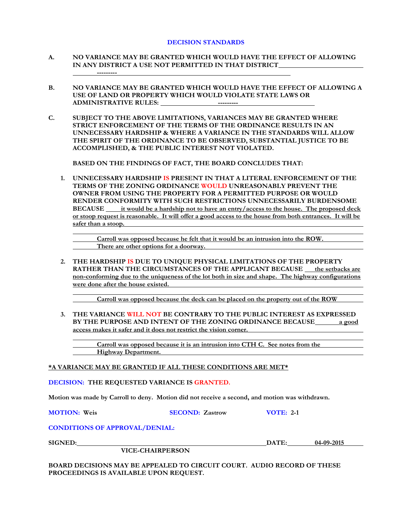- **A. NO VARIANCE MAY BE GRANTED WHICH WOULD HAVE THE EFFECT OF ALLOWING IN ANY DISTRICT A USE NOT PERMITTED IN THAT DISTRICT ---------**
- **B. NO VARIANCE MAY BE GRANTED WHICH WOULD HAVE THE EFFECT OF ALLOWING A USE OF LAND OR PROPERTY WHICH WOULD VIOLATE STATE LAWS OR ADMINISTRATIVE RULES:** ----------
- **C. SUBJECT TO THE ABOVE LIMITATIONS, VARIANCES MAY BE GRANTED WHERE STRICT ENFORCEMENT OF THE TERMS OF THE ORDINANCE RESULTS IN AN UNNECESSARY HARDSHIP & WHERE A VARIANCE IN THE STANDARDS WILL ALLOW THE SPIRIT OF THE ORDINANCE TO BE OBSERVED, SUBSTANTIAL JUSTICE TO BE ACCOMPLISHED, & THE PUBLIC INTEREST NOT VIOLATED.**

**BASED ON THE FINDINGS OF FACT, THE BOARD CONCLUDES THAT:**

**1. UNNECESSARY HARDSHIP IS PRESENT IN THAT A LITERAL ENFORCEMENT OF THE TERMS OF THE ZONING ORDINANCE WOULD UNREASONABLY PREVENT THE OWNER FROM USING THE PROPERTY FOR A PERMITTED PURPOSE OR WOULD RENDER CONFORMITY WITH SUCH RESTRICTIONS UNNECESSARILY BURDENSOME BECAUSE it would be a hardship not to have an entry/access to the house. The proposed deck or stoop request is reasonable. It will offer a good access to the house from both entrances. It will be safer than a stoop.**

**Carroll was opposed because he felt that it would be an intrusion into the ROW. There are other options for a doorway.**

**2. THE HARDSHIP IS DUE TO UNIQUE PHYSICAL LIMITATIONS OF THE PROPERTY**  RATHER THAN THE CIRCUMSTANCES OF THE APPLICANT BECAUSE the setbacks are **non-conforming due to the uniqueness of the lot both in size and shape. The highway configurations were done after the house existed.**

**Carroll was opposed because the deck can be placed on the property out of the ROW**

**3. THE VARIANCE WILL NOT BE CONTRARY TO THE PUBLIC INTEREST AS EXPRESSED BY THE PURPOSE AND INTENT OF THE ZONING ORDINANCE BECAUSE a good access makes it safer and it does not restrict the vision corner.**

**Carroll was opposed because it is an intrusion into CTH C. See notes from the Highway Department.**

#### **\*A VARIANCE MAY BE GRANTED IF ALL THESE CONDITIONS ARE MET\***

**DECISION: THE REQUESTED VARIANCE IS GRANTED.**

**Motion was made by Carroll to deny. Motion did not receive a second, and motion was withdrawn.**

**MOTION: Weis SECOND: Zastrow VOTE: 2-1**

#### **CONDITIONS OF APPROVAL/DENIAL:**

**SIGNED: DATE: 04-09-2015**

**VICE-CHAIRPERSON**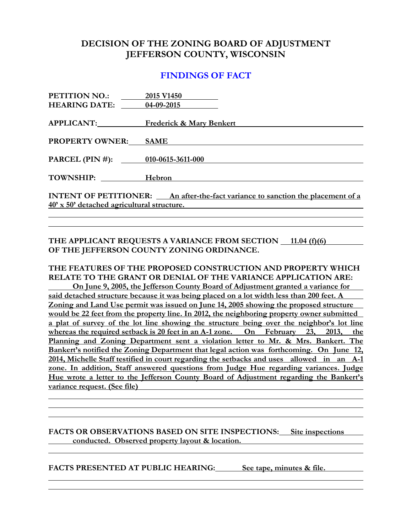### **FINDINGS OF FACT**

| <b>PETITION NO.:</b>                                                                   | 2015 V1450                          |  |
|----------------------------------------------------------------------------------------|-------------------------------------|--|
| <b>HEARING DATE:</b> 04-09-2015                                                        |                                     |  |
|                                                                                        |                                     |  |
|                                                                                        | APPLICANT: Frederick & Mary Benkert |  |
|                                                                                        |                                     |  |
| <b>PROPERTY OWNER:</b>                                                                 | <b>SAME</b>                         |  |
|                                                                                        |                                     |  |
| PARCEL (PIN #): 010-0615-3611-000                                                      |                                     |  |
|                                                                                        |                                     |  |
| TOWNSHIP: Hebron                                                                       |                                     |  |
|                                                                                        |                                     |  |
| <b>INTENT OF PETITIONER:</b> An after-the-fact variance to sanction the placement of a |                                     |  |
| 40' x 50' detached agricultural structure.                                             |                                     |  |

### **THE APPLICANT REQUESTS A VARIANCE FROM SECTION 11.04 (f)(6) OF THE JEFFERSON COUNTY ZONING ORDINANCE.**

**THE FEATURES OF THE PROPOSED CONSTRUCTION AND PROPERTY WHICH RELATE TO THE GRANT OR DENIAL OF THE VARIANCE APPLICATION ARE: On June 9, 2005, the Jefferson County Board of Adjustment granted a variance for said detached structure because it was being placed on a lot width less than 200 feet. A Zoning and Land Use permit was issued on June 14, 2005 showing the proposed structure would be 22 feet from the property line. In 2012, the neighboring property owner submitted a plat of survey of the lot line showing the structure being over the neighbor's lot line whereas the required setback is 20 feet in an A-1 zone. On February 23, 2013, the Planning and Zoning Department sent a violation letter to Mr. & Mrs. Bankert. The Bankert's notified the Zoning Department that legal action was forthcoming. On June 12, 2014, Michelle Staff testified in court regarding the setbacks and uses allowed in an A-1 zone. In addition, Staff answered questions from Judge Hue regarding variances. Judge Hue wrote a letter to the Jefferson County Board of Adjustment regarding the Bankert's variance request. (See file)**

### **FACTS OR OBSERVATIONS BASED ON SITE INSPECTIONS: Site inspections conducted. Observed property layout & location.**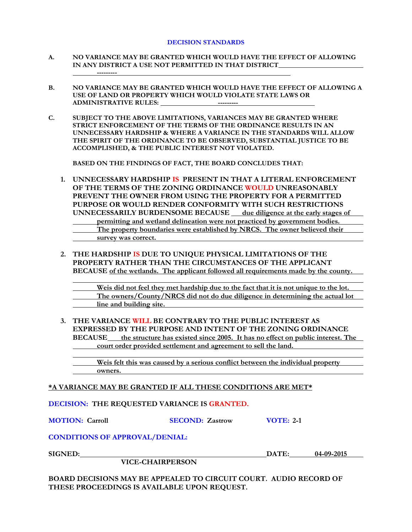- **A. NO VARIANCE MAY BE GRANTED WHICH WOULD HAVE THE EFFECT OF ALLOWING IN ANY DISTRICT A USE NOT PERMITTED IN THAT DISTRICT ---------**
- **B. NO VARIANCE MAY BE GRANTED WHICH WOULD HAVE THE EFFECT OF ALLOWING A USE OF LAND OR PROPERTY WHICH WOULD VIOLATE STATE LAWS OR ADMINISTRATIVE RULES:**
- **C. SUBJECT TO THE ABOVE LIMITATIONS, VARIANCES MAY BE GRANTED WHERE STRICT ENFORCEMENT OF THE TERMS OF THE ORDINANCE RESULTS IN AN UNNECESSARY HARDSHIP & WHERE A VARIANCE IN THE STANDARDS WILL ALLOW THE SPIRIT OF THE ORDINANCE TO BE OBSERVED, SUBSTANTIAL JUSTICE TO BE ACCOMPLISHED, & THE PUBLIC INTEREST NOT VIOLATED.**

**BASED ON THE FINDINGS OF FACT, THE BOARD CONCLUDES THAT:**

- **1. UNNECESSARY HARDSHIP IS PRESENT IN THAT A LITERAL ENFORCEMENT OF THE TERMS OF THE ZONING ORDINANCE WOULD UNREASONABLY PREVENT THE OWNER FROM USING THE PROPERTY FOR A PERMITTED PURPOSE OR WOULD RENDER CONFORMITY WITH SUCH RESTRICTIONS UNNECESSARILY BURDENSOME BECAUSE** due diligence at the early stages of **permitting and wetland delineation were not practiced by government bodies. The property boundaries were established by NRCS. The owner believed their survey was correct.**
- **2. THE HARDSHIP IS DUE TO UNIQUE PHYSICAL LIMITATIONS OF THE PROPERTY RATHER THAN THE CIRCUMSTANCES OF THE APPLICANT BECAUSE of the wetlands. The applicant followed all requirements made by the county.**

**Weis did not feel they met hardship due to the fact that it is not unique to the lot. The owners/County/NRCS did not do due diligence in determining the actual lot line and building site.**

**3. THE VARIANCE WILL BE CONTRARY TO THE PUBLIC INTEREST AS EXPRESSED BY THE PURPOSE AND INTENT OF THE ZONING ORDINANCE BECAUSE the structure has existed since 2005. It has no effect on public interest. The court order provided settlement and agreement to sell the land.**

**Weis felt this was caused by a serious conflict between the individual property owners.**

**\*A VARIANCE MAY BE GRANTED IF ALL THESE CONDITIONS ARE MET\***

**DECISION: THE REQUESTED VARIANCE IS GRANTED.**

**MOTION: Carroll SECOND: Zastrow VOTE: 2-1**

### **CONDITIONS OF APPROVAL/DENIAL:**

**VICE-CHAIRPERSON**

**SIGNED: DATE: 04-09-2015**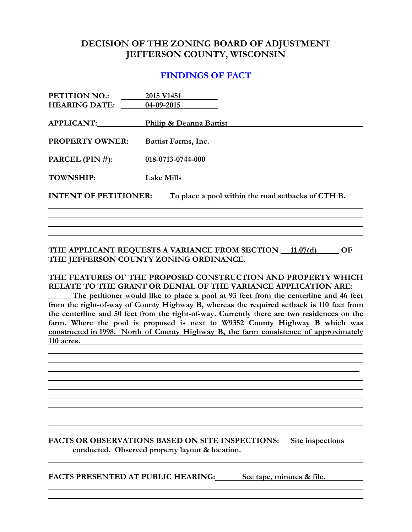### **FINDINGS OF FACT**

| <b>PETITION NO.:</b>                                                               | 2015 V1451              |
|------------------------------------------------------------------------------------|-------------------------|
| <b>HEARING DATE:</b>                                                               | 04-09-2015              |
| <b>APPLICANT:</b>                                                                  | Philip & Deanna Battist |
| <b>PROPERTY OWNER:</b>                                                             | Battist Farms, Inc.     |
| PARCEL (PIN #): $\qquad \qquad$                                                    | 018-0713-0744-000       |
| TOWNSHIP:                                                                          | <b>Lake Mills</b>       |
| <b>INTENT OF PETITIONER:</b><br>To place a pool within the road setbacks of CTH B. |                         |
|                                                                                    |                         |
|                                                                                    |                         |

**THE APPLICANT REQUESTS A VARIANCE FROM SECTION**  $\_$  **11.07(d)**  $\_$  **OF THE JEFFERSON COUNTY ZONING ORDINANCE.**

### **THE FEATURES OF THE PROPOSED CONSTRUCTION AND PROPERTY WHICH RELATE TO THE GRANT OR DENIAL OF THE VARIANCE APPLICATION ARE:**

**The petitioner would like to place a pool at 93 feet from the centerline and 46 feet from the right-of-way of County Highway B, whereas the required setback is 110 feet from the centerline and 50 feet from the right-of-way. Currently there are two residences on the farm. Where the pool is proposed is next to W9352 County Highway B which was constructed in 1998. North of County Highway B, the farm consistence of approximately 110 acres.** 

**FACTS OR OBSERVATIONS BASED ON SITE INSPECTIONS: Site inspections conducted. Observed property layout & location.**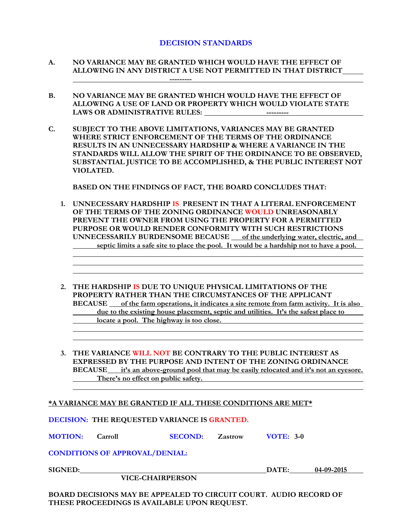- **A. NO VARIANCE MAY BE GRANTED WHICH WOULD HAVE THE EFFECT OF ALLOWING IN ANY DISTRICT A USE NOT PERMITTED IN THAT DISTRICT ---------**
- **B. NO VARIANCE MAY BE GRANTED WHICH WOULD HAVE THE EFFECT OF ALLOWING A USE OF LAND OR PROPERTY WHICH WOULD VIOLATE STATE LAWS OR ADMINISTRATIVE RULES: ---------**
- **C. SUBJECT TO THE ABOVE LIMITATIONS, VARIANCES MAY BE GRANTED WHERE STRICT ENFORCEMENT OF THE TERMS OF THE ORDINANCE RESULTS IN AN UNNECESSARY HARDSHIP & WHERE A VARIANCE IN THE STANDARDS WILL ALLOW THE SPIRIT OF THE ORDINANCE TO BE OBSERVED, SUBSTANTIAL JUSTICE TO BE ACCOMPLISHED, & THE PUBLIC INTEREST NOT VIOLATED.**

**BASED ON THE FINDINGS OF FACT, THE BOARD CONCLUDES THAT:**

- **1. UNNECESSARY HARDSHIP IS PRESENT IN THAT A LITERAL ENFORCEMENT OF THE TERMS OF THE ZONING ORDINANCE WOULD UNREASONABLY PREVENT THE OWNER FROM USING THE PROPERTY FOR A PERMITTED PURPOSE OR WOULD RENDER CONFORMITY WITH SUCH RESTRICTIONS UNNECESSARILY BURDENSOME BECAUSE of the underlying water, electric, and**  septic limits a safe site to place the pool. It would be a hardship not to have a pool.
- **2. THE HARDSHIP IS DUE TO UNIQUE PHYSICAL LIMITATIONS OF THE PROPERTY RATHER THAN THE CIRCUMSTANCES OF THE APPLICANT BECAUSE of the farm operations, it indicates a site remote from farm activity. It is also due to the existing house placement, septic and utilities. It's the safest place to locate a pool. The highway is too close.**
- **3. THE VARIANCE WILL NOT BE CONTRARY TO THE PUBLIC INTEREST AS EXPRESSED BY THE PURPOSE AND INTENT OF THE ZONING ORDINANCE BECAUSE it's an above-ground pool that may be easily relocated and it's not an eyesore. There's no effect on public safety.**

#### **\*A VARIANCE MAY BE GRANTED IF ALL THESE CONDITIONS ARE MET\***

**MOTION: Carroll SECOND: Zastrow VOTE: 3-0**

**CONDITIONS OF APPROVAL/DENIAL:**

**SIGNED: DATE: 04-09-2015**

**VICE-CHAIRPERSON**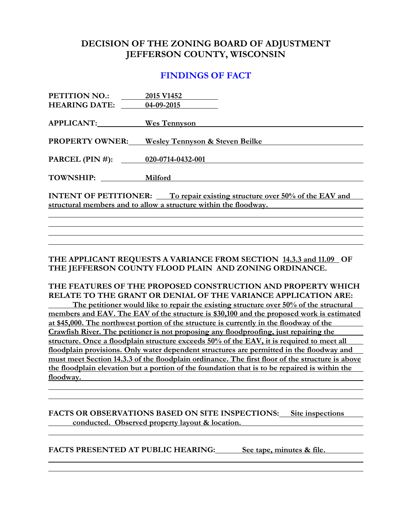### **FINDINGS OF FACT**

| PETITION NO.:                                                                     | 2015 V1452                                 |  |
|-----------------------------------------------------------------------------------|--------------------------------------------|--|
| <b>HEARING DATE:</b>                                                              | 04-09-2015                                 |  |
|                                                                                   |                                            |  |
| APPLICANT: Wes Tennyson                                                           |                                            |  |
|                                                                                   |                                            |  |
| <b>PROPERTY OWNER:</b>                                                            | <b>Wesley Tennyson &amp; Steven Beilke</b> |  |
| PARCEL (PIN #): $020-0714-0432-001$                                               |                                            |  |
|                                                                                   |                                            |  |
| TOWNSHIP:                                                                         | Milford                                    |  |
|                                                                                   |                                            |  |
| <b>INTENT OF PETITIONER:</b> To repair existing structure over 50% of the EAV and |                                            |  |
| structural members and to allow a structure within the floodway.                  |                                            |  |
|                                                                                   |                                            |  |

**THE APPLICANT REQUESTS A VARIANCE FROM SECTION 14.3.3 and 11.09 OF THE JEFFERSON COUNTY FLOOD PLAIN AND ZONING ORDINANCE.**

**THE FEATURES OF THE PROPOSED CONSTRUCTION AND PROPERTY WHICH RELATE TO THE GRANT OR DENIAL OF THE VARIANCE APPLICATION ARE: The petitioner would like to repair the existing structure over 50% of the structural**

**members and EAV. The EAV of the structure is \$30,100 and the proposed work is estimated at \$45,000. The northwest portion of the structure is currently in the floodway of the Crawfish River. The petitioner is not proposing any floodproofing, just repairing the structure. Once a floodplain structure exceeds 50% of the EAV, it is required to meet all floodplain provisions. Only water dependent structures are permitted in the floodway and must meet Section 14.3.3 of the floodplain ordinance. The first floor of the structure is above the floodplain elevation but a portion of the foundation that is to be repaired is within the floodway.** 

**FACTS OR OBSERVATIONS BASED ON SITE INSPECTIONS: Site inspections conducted. Observed property layout & location.**